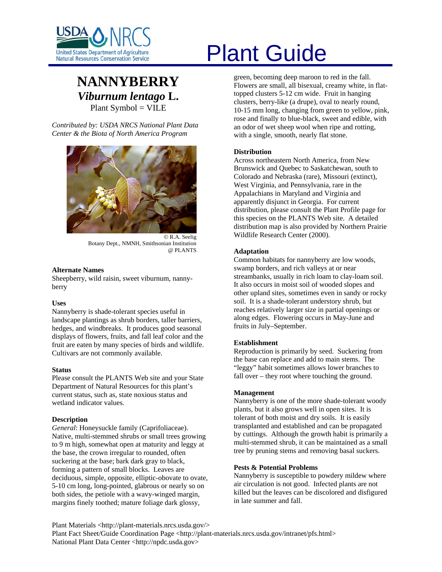

# **NANNYBERRY** *Viburnum lentago* **L.**  Plant Symbol = VILE

*Contributed by: USDA NRCS National Plant Data Center & the Biota of North America Program* 



© R.A. Seelig Botany Dept., NMNH, Smithsonian Institution @ PLANTS

#### **Alternate Names**

Sheepberry, wild raisin, sweet viburnum, nannyberry

#### **Uses**

Nannyberry is shade-tolerant species useful in landscape plantings as shrub borders, taller barriers, hedges, and windbreaks. It produces good seasonal displays of flowers, fruits, and fall leaf color and the fruit are eaten by many species of birds and wildlife. Cultivars are not commonly available.

#### **Status**

Please consult the PLANTS Web site and your State Department of Natural Resources for this plant's current status, such as, state noxious status and wetland indicator values.

# **Description**

*General*: Honeysuckle family (Caprifoliaceae). Native, multi-stemmed shrubs or small trees growing to 9 m high, somewhat open at maturity and leggy at the base, the crown irregular to rounded, often suckering at the base; bark dark gray to black, forming a pattern of small blocks. Leaves are deciduous, simple, opposite, elliptic-obovate to ovate, 5-10 cm long, long-pointed, glabrous or nearly so on both sides, the petiole with a wavy-winged margin, margins finely toothed; mature foliage dark glossy,

# United States Department of Agriculture<br>Natural Resources Conservation Service

green, becoming deep maroon to red in the fall. Flowers are small, all bisexual, creamy white, in flattopped clusters 5-12 cm wide. Fruit in hanging clusters, berry-like (a drupe), oval to nearly round, 10-15 mm long, changing from green to yellow, pink, rose and finally to blue-black, sweet and edible, with an odor of wet sheep wool when ripe and rotting, with a single, smooth, nearly flat stone.

# **Distribution**

Across northeastern North America, from New Brunswick and Quebec to Saskatchewan, south to Colorado and Nebraska (rare), Missouri (extinct), West Virginia, and Pennsylvania, rare in the Appalachians in Maryland and Virginia and apparently disjunct in Georgia. For current distribution, please consult the Plant Profile page for this species on the PLANTS Web site. A detailed distribution map is also provided by Northern Prairie Wildlife Research Center (2000).

# **Adaptation**

Common habitats for nannyberry are low woods, swamp borders, and rich valleys at or near streambanks, usually in rich loam to clay-loam soil. It also occurs in moist soil of wooded slopes and other upland sites, sometimes even in sandy or rocky soil. It is a shade-tolerant understory shrub, but reaches relatively larger size in partial openings or along edges. Flowering occurs in May-June and fruits in July–September.

# **Establishment**

Reproduction is primarily by seed. Suckering from the base can replace and add to main stems. The "leggy" habit sometimes allows lower branches to fall over – they root where touching the ground.

#### **Management**

Nannyberry is one of the more shade-tolerant woody plants, but it also grows well in open sites. It is tolerant of both moist and dry soils. It is easily transplanted and established and can be propagated by cuttings. Although the growth habit is primarily a multi-stemmed shrub, it can be maintained as a small tree by pruning stems and removing basal suckers.

# **Pests & Potential Problems**

Nannyberry is susceptible to powdery mildew where air circulation is not good. Infected plants are not killed but the leaves can be discolored and disfigured in late summer and fall.

Plant Materials <http://plant-materials.nrcs.usda.gov/> Plant Fact Sheet/Guide Coordination Page <http://plant-materials.nrcs.usda.gov/intranet/pfs.html> National Plant Data Center <http://npdc.usda.gov>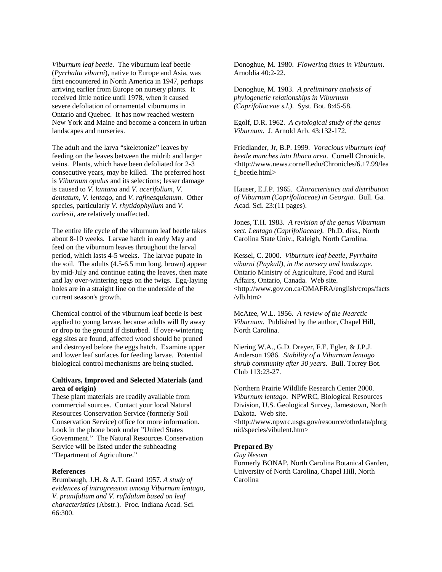*Viburnum leaf beetle*. The viburnum leaf beetle (*Pyrrhalta viburni*), native to Europe and Asia, was first encountered in North America in 1947, perhaps arriving earlier from Europe on nursery plants. It received little notice until 1978, when it caused severe defoliation of ornamental viburnums in Ontario and Quebec. It has now reached western New York and Maine and become a concern in urban landscapes and nurseries.

The adult and the larva "skeletonize" leaves by feeding on the leaves between the midrib and larger veins. Plants, which have been defoliated for 2-3 consecutive years, may be killed. The preferred host is *Viburnum opulus* and its selections; lesser damage is caused to *V. lantana* and *V. acerifolium*, *V. dentatum*, *V. lentago*, and *V. rafinesquianum*. Other species, particularly *V. rhytidophyllum* and *V. carlesii*, are relatively unaffected.

The entire life cycle of the viburnum leaf beetle takes about 8-10 weeks. Larvae hatch in early May and feed on the viburnum leaves throughout the larval period, which lasts 4-5 weeks. The larvae pupate in the soil. The adults (4.5-6.5 mm long, brown) appear by mid-July and continue eating the leaves, then mate and lay over-wintering eggs on the twigs. Egg-laying holes are in a straight line on the underside of the current season's growth.

Chemical control of the viburnum leaf beetle is best applied to young larvae, because adults will fly away or drop to the ground if disturbed. If over-wintering egg sites are found, affected wood should be pruned and destroyed before the eggs hatch. Examine upper and lower leaf surfaces for feeding larvae. Potential biological control mechanisms are being studied.

#### **Cultivars, Improved and Selected Materials (and area of origin)**

These plant materials are readily available from commercial sources. Contact your local Natural Resources Conservation Service (formerly Soil Conservation Service) office for more information. Look in the phone book under "United States Government." The Natural Resources Conservation Service will be listed under the subheading "Department of Agriculture."

# **References**

Brumbaugh, J.H. & A.T. Guard 1957. *A study of evidences of introgression among Viburnum lentago, V. prunifolium and V. rufidulum based on leaf characteristics* (Abstr.). Proc. Indiana Acad. Sci. 66:300.

Donoghue, M. 1980. *Flowering times in Viburnum*. Arnoldia 40:2-22.

Donoghue, M. 1983. *A preliminary analysis of phylogenetic relationships in Viburnum (Caprifoliaceae s.l.)*. Syst. Bot. 8:45-58.

Egolf, D.R. 1962. *A cytological study of the genus Viburnum*. J. Arnold Arb. 43:132-172.

Friedlander, Jr, B.P. 1999. *Voracious viburnum leaf beetle munches into Ithaca area*. Cornell Chronicle. <http://www.news.cornell.edu/Chronicles/6.17.99/lea f\_beetle.html>

Hauser, E.J.P. 1965. *Characteristics and distribution of Viburnum (Caprifoliaceae) in Georgia*. Bull. Ga. Acad. Sci. 23:(11 pages).

Jones, T.H. 1983. *A revision of the genus Viburnum sect. Lentago (Caprifoliaceae)*. Ph.D. diss., North Carolina State Univ., Raleigh, North Carolina.

Kessel, C. 2000. *Viburnum leaf beetle, Pyrrhalta viburni (Paykull), in the nursery and landscape*. Ontario Ministry of Agriculture, Food and Rural Affairs, Ontario, Canada. Web site. <http://www.gov.on.ca/OMAFRA/english/crops/facts /vlb.htm>

McAtee, W.L. 1956. *A review of the Nearctic Viburnum*. Published by the author, Chapel Hill, North Carolina.

Niering W.A., G.D. Dreyer, F.E. Egler, & J.P.J. Anderson 1986. *Stability of a Viburnum lentago shrub community after 30 years*. Bull. Torrey Bot. Club 113:23-27.

Northern Prairie Wildlife Research Center 2000. *Viburnum lentago*. NPWRC, Biological Resources Division, U.S. Geological Survey, Jamestown, North Dakota. Web site.

<http://www.npwrc.usgs.gov/resource/othrdata/plntg uid/species/vibulent.htm>

#### **Prepared By**

*Guy Nesom*

Formerly BONAP, North Carolina Botanical Garden, University of North Carolina, Chapel Hill, North Carolina